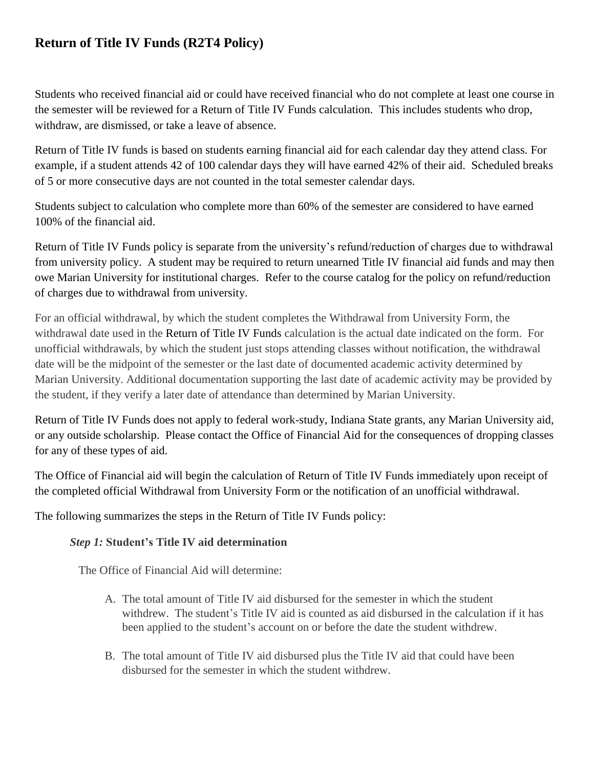# **Return of Title IV Funds (R2T4 Policy)**

Students who received financial aid or could have received financial who do not complete at least one course in the semester will be reviewed for a Return of Title IV Funds calculation. This includes students who drop, withdraw, are dismissed, or take a leave of absence.

Return of Title IV funds is based on students earning financial aid for each calendar day they attend class. For example, if a student attends 42 of 100 calendar days they will have earned 42% of their aid. Scheduled breaks of 5 or more consecutive days are not counted in the total semester calendar days.

Students subject to calculation who complete more than 60% of the semester are considered to have earned 100% of the financial aid.

Return of Title IV Funds policy is separate from the university's refund/reduction of charges due to withdrawal from university policy. A student may be required to return unearned Title IV financial aid funds and may then owe Marian University for institutional charges. Refer to the course catalog for the policy on refund/reduction of charges due to withdrawal from university.

For an official withdrawal, by which the student completes the Withdrawal from University Form, the withdrawal date used in the Return of Title IV Funds calculation is the actual date indicated on the form. For unofficial withdrawals, by which the student just stops attending classes without notification, the withdrawal date will be the midpoint of the semester or the last date of documented academic activity determined by Marian University. Additional documentation supporting the last date of academic activity may be provided by the student, if they verify a later date of attendance than determined by Marian University.

Return of Title IV Funds does not apply to federal work-study, Indiana State grants, any Marian University aid, or any outside scholarship. Please contact the Office of Financial Aid for the consequences of dropping classes for any of these types of aid.

The Office of Financial aid will begin the calculation of Return of Title IV Funds immediately upon receipt of the completed official Withdrawal from University Form or the notification of an unofficial withdrawal.

The following summarizes the steps in the Return of Title IV Funds policy:

# *Step 1:* **Student's Title IV aid determination**

The Office of Financial Aid will determine:

- A. The total amount of Title IV aid disbursed for the semester in which the student withdrew. The student's Title IV aid is counted as aid disbursed in the calculation if it has been applied to the student's account on or before the date the student withdrew.
- B. The total amount of Title IV aid disbursed plus the Title IV aid that could have been disbursed for the semester in which the student withdrew.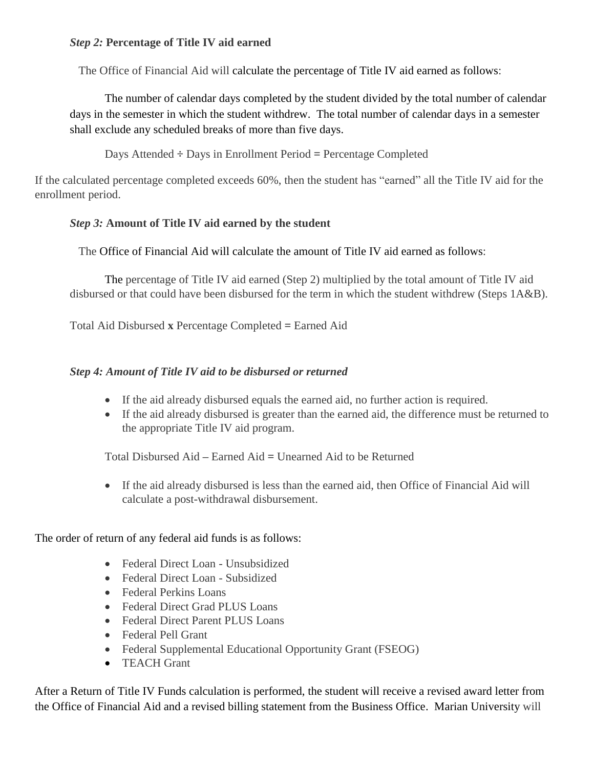#### *Step 2:* **Percentage of Title IV aid earned**

The Office of Financial Aid will calculate the percentage of Title IV aid earned as follows:

The number of calendar days completed by the student divided by the total number of calendar days in the semester in which the student withdrew. The total number of calendar days in a semester shall exclude any scheduled breaks of more than five days.

Days Attended **÷** Days in Enrollment Period **=** Percentage Completed

If the calculated percentage completed exceeds 60%, then the student has "earned" all the Title IV aid for the enrollment period.

## *Step 3:* **Amount of Title IV aid earned by the student**

The Office of Financial Aid will calculate the amount of Title IV aid earned as follows:

The percentage of Title IV aid earned (Step 2) multiplied by the total amount of Title IV aid disbursed or that could have been disbursed for the term in which the student withdrew (Steps 1A&B).

Total Aid Disbursed **x** Percentage Completed **=** Earned Aid

## *Step 4: Amount of Title IV aid to be disbursed or returned*

- If the aid already disbursed equals the earned aid, no further action is required.
- If the aid already disbursed is greater than the earned aid, the difference must be returned to the appropriate Title IV aid program.

Total Disbursed Aid **–** Earned Aid **=** Unearned Aid to be Returned

 If the aid already disbursed is less than the earned aid, then Office of Financial Aid will calculate a post-withdrawal disbursement.

The order of return of any federal aid funds is as follows:

- Federal Direct Loan Unsubsidized
- Federal Direct Loan Subsidized
- Federal Perkins Loans
- Federal Direct Grad PLUS Loans
- Federal Direct Parent PLUS Loans
- Federal Pell Grant
- Federal Supplemental Educational Opportunity Grant (FSEOG)
- **•** TEACH Grant

After a Return of Title IV Funds calculation is performed, the student will receive a revised award letter from the Office of Financial Aid and a revised billing statement from the Business Office. Marian University will